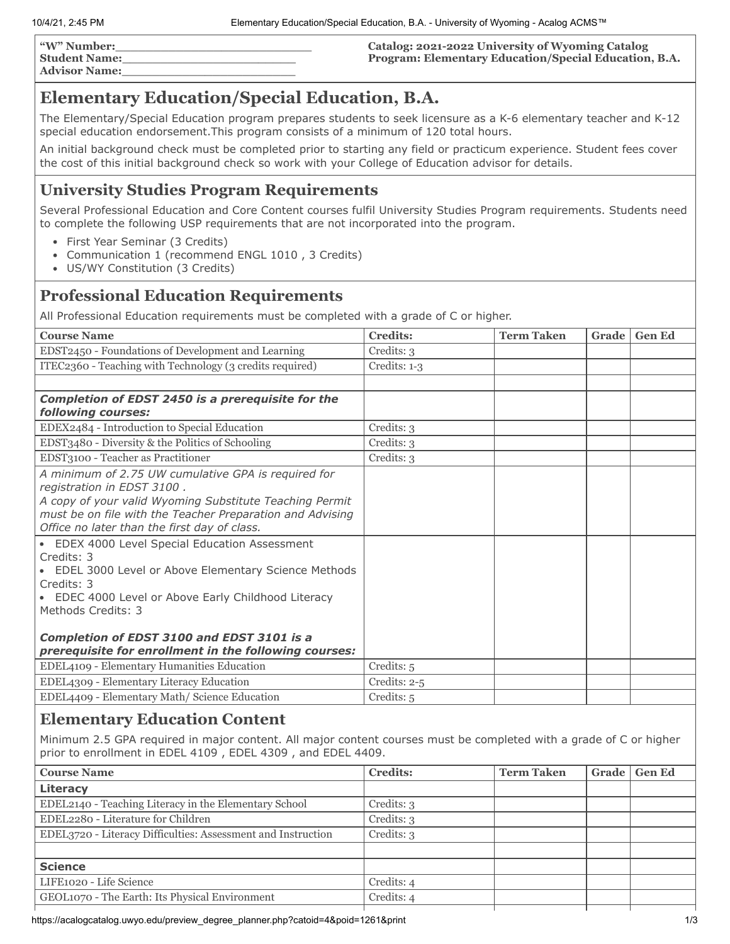| "W" Number:          |  |
|----------------------|--|
| <b>Student Name:</b> |  |
| <b>Advisor Name:</b> |  |

### **Catalog: 2021-2022 University of Wyoming Catalog Program: Elementary Education/Special Education, B.A.**

# **Elementary Education/Special Education, B.A.**

The Elementary/Special Education program prepares students to seek licensure as a K-6 elementary teacher and K-12 special education endorsement.This program consists of a minimum of 120 total hours.

An initial background check must be completed prior to starting any field or practicum experience. Student fees cover the cost of this initial background check so work with your College of Education advisor for details.

### **University Studies Program Requirements**

Several Professional Education and Core Content courses fulfil University Studies Program requirements. Students need to complete the following USP requirements that are not incorporated into the program.

- First Year Seminar (3 Credits)
- Communication 1 (recommend ENGL 1010 , 3 Credits)
- US/WY Constitution (3 Credits)

### **Professional Education Requirements**

All Professional Education requirements must be completed with a grade of C or higher.

| <b>Course Name</b>                                                                                                                                                                                                                                                                                                                                                                                                                                                                   | <b>Credits:</b>                          | <b>Term Taken</b> | <b>Grade</b> | <b>Gen Ed</b> |
|--------------------------------------------------------------------------------------------------------------------------------------------------------------------------------------------------------------------------------------------------------------------------------------------------------------------------------------------------------------------------------------------------------------------------------------------------------------------------------------|------------------------------------------|-------------------|--------------|---------------|
| EDST2450 - Foundations of Development and Learning                                                                                                                                                                                                                                                                                                                                                                                                                                   | Credits: 3                               |                   |              |               |
| ITEC2360 - Teaching with Technology (3 credits required)                                                                                                                                                                                                                                                                                                                                                                                                                             | Credits: 1-3                             |                   |              |               |
|                                                                                                                                                                                                                                                                                                                                                                                                                                                                                      |                                          |                   |              |               |
| Completion of EDST 2450 is a prerequisite for the<br>following courses:                                                                                                                                                                                                                                                                                                                                                                                                              |                                          |                   |              |               |
| EDEX2484 - Introduction to Special Education                                                                                                                                                                                                                                                                                                                                                                                                                                         | Credits: 3                               |                   |              |               |
| EDST3480 - Diversity & the Politics of Schooling                                                                                                                                                                                                                                                                                                                                                                                                                                     | Credits: 3                               |                   |              |               |
| EDST3100 - Teacher as Practitioner                                                                                                                                                                                                                                                                                                                                                                                                                                                   | Credits: 3                               |                   |              |               |
| A minimum of 2.75 UW cumulative GPA is required for<br>registration in EDST 3100.<br>A copy of your valid Wyoming Substitute Teaching Permit<br>must be on file with the Teacher Preparation and Advising<br>Office no later than the first day of class.<br>EDEX 4000 Level Special Education Assessment<br>$\bullet$<br>Credits: 3<br>EDEL 3000 Level or Above Elementary Science Methods<br>Credits: 3<br>EDEC 4000 Level or Above Early Childhood Literacy<br>Methods Credits: 3 |                                          |                   |              |               |
| Completion of EDST 3100 and EDST 3101 is a<br>prerequisite for enrollment in the following courses:<br>EDEL4109 - Elementary Humanities Education<br>EDEL4309 - Elementary Literacy Education<br>EDEL4409 - Elementary Math/ Science Education                                                                                                                                                                                                                                       | Credits: 5<br>Credits: 2-5<br>Credits: 5 |                   |              |               |

### **Elementary Education Content**

Minimum 2.5 GPA required in major content. All major content courses must be completed with a grade of C or higher prior to enrollment in EDEL 4109 , EDEL 4309 , and EDEL 4409.

| <b>Course Name</b>                                           | <b>Credits:</b> | <b>Term Taken</b> | Grade | <b>Gen Ed</b> |
|--------------------------------------------------------------|-----------------|-------------------|-------|---------------|
| Literacy                                                     |                 |                   |       |               |
| EDEL2140 - Teaching Literacy in the Elementary School        | Credits: 3      |                   |       |               |
| EDEL2280 - Literature for Children                           | Credits: 3      |                   |       |               |
| EDEL3720 - Literacy Difficulties: Assessment and Instruction | Credits: 3      |                   |       |               |
|                                                              |                 |                   |       |               |
| <b>Science</b>                                               |                 |                   |       |               |
| LIFE1020 - Life Science                                      | Credits: 4      |                   |       |               |
| GEOL1070 - The Earth: Its Physical Environment               | Credits: 4      |                   |       |               |
|                                                              |                 |                   |       |               |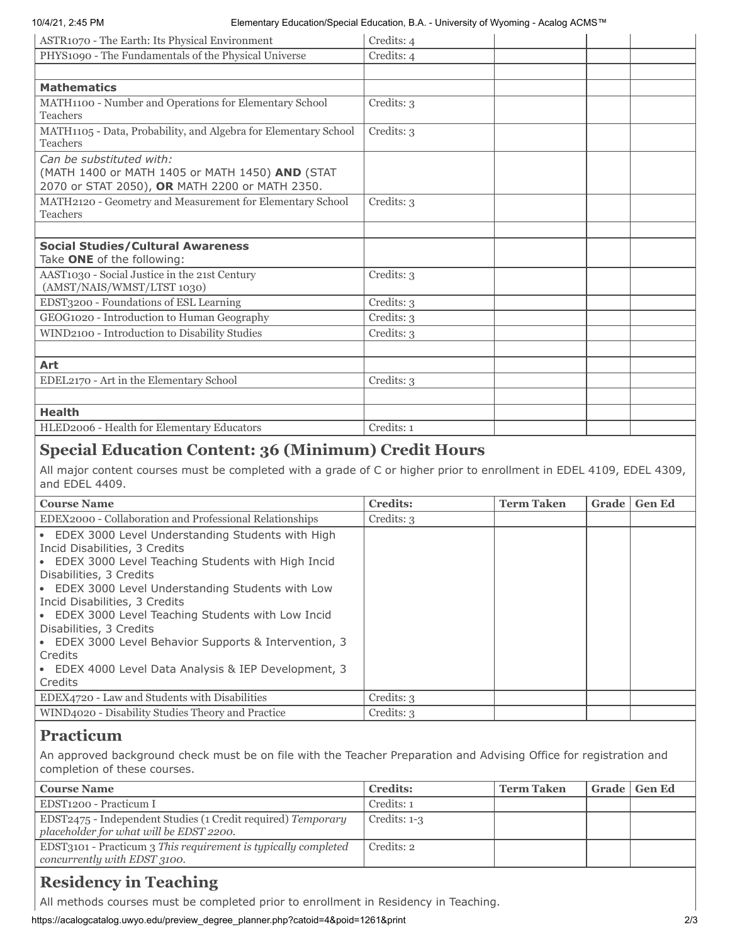### 10/4/21, 2:45 PM Elementary Education/Special Education, B.A. - University of Wyoming - Acalog ACMS™

| ASTR1070 - The Earth: Its Physical Environment                                                                                | Credits: 4 |
|-------------------------------------------------------------------------------------------------------------------------------|------------|
| PHYS1090 - The Fundamentals of the Physical Universe                                                                          | Credits: 4 |
|                                                                                                                               |            |
| <b>Mathematics</b>                                                                                                            |            |
| MATH1100 - Number and Operations for Elementary School<br>Teachers                                                            | Credits: 3 |
| MATH1105 - Data, Probability, and Algebra for Elementary School<br>Teachers                                                   | Credits: 3 |
| Can be substituted with:<br>(MATH 1400 or MATH 1405 or MATH 1450) AND (STAT<br>2070 or STAT 2050), OR MATH 2200 or MATH 2350. |            |
| MATH2120 - Geometry and Measurement for Elementary School<br>Teachers                                                         | Credits: 3 |
|                                                                                                                               |            |
| <b>Social Studies/Cultural Awareness</b>                                                                                      |            |
| Take ONE of the following:                                                                                                    |            |
| AAST1030 - Social Justice in the 21st Century<br>(AMST/NAIS/WMST/LTST 1030)                                                   | Credits: 3 |
| EDST3200 - Foundations of ESL Learning                                                                                        | Credits: 3 |
| GEOG1020 - Introduction to Human Geography                                                                                    | Credits: 3 |
| WIND2100 - Introduction to Disability Studies                                                                                 | Credits: 3 |
|                                                                                                                               |            |
| Art                                                                                                                           |            |
| EDEL2170 - Art in the Elementary School                                                                                       | Credits: 3 |
|                                                                                                                               |            |
| <b>Health</b>                                                                                                                 |            |
| HLED2006 - Health for Elementary Educators                                                                                    | Credits: 1 |

## **Special Education Content: 36 (Minimum) Credit Hours**

All major content courses must be completed with a grade of C or higher prior to enrollment in EDEL 4109, EDEL 4309, and EDEL 4409.

| <b>Course Name</b>                                                                                                                                                                                                                                                                                                                                                                                                                                                                  | <b>Credits:</b> | <b>Term Taken</b> | Grade | <b>Gen Ed</b> |
|-------------------------------------------------------------------------------------------------------------------------------------------------------------------------------------------------------------------------------------------------------------------------------------------------------------------------------------------------------------------------------------------------------------------------------------------------------------------------------------|-----------------|-------------------|-------|---------------|
| EDEX2000 - Collaboration and Professional Relationships                                                                                                                                                                                                                                                                                                                                                                                                                             | Credits: 3      |                   |       |               |
| • EDEX 3000 Level Understanding Students with High<br>Incid Disabilities, 3 Credits<br>• EDEX 3000 Level Teaching Students with High Incid<br>Disabilities, 3 Credits<br>• EDEX 3000 Level Understanding Students with Low<br>Incid Disabilities, 3 Credits<br>• EDEX 3000 Level Teaching Students with Low Incid<br>Disabilities, 3 Credits<br>• EDEX 3000 Level Behavior Supports & Intervention, 3<br>Credits<br>• EDEX 4000 Level Data Analysis & IEP Development, 3<br>Credits |                 |                   |       |               |
| EDEX4720 - Law and Students with Disabilities                                                                                                                                                                                                                                                                                                                                                                                                                                       | Credits: 3      |                   |       |               |
| WIND4020 - Disability Studies Theory and Practice                                                                                                                                                                                                                                                                                                                                                                                                                                   | Credits: 3      |                   |       |               |

## **Practicum**

An approved background check must be on file with the Teacher Preparation and Advising Office for registration and completion of these courses.

| <b>Course Name</b>                                                                                      | <b>Credits:</b> | <b>Term Taken</b> | Grade   Gen Ed |
|---------------------------------------------------------------------------------------------------------|-----------------|-------------------|----------------|
| EDST1200 - Practicum I                                                                                  | Credits: 1      |                   |                |
| EDST2475 - Independent Studies (1 Credit required) Temporary<br>placeholder for what will be EDST 2200. | Credits: $1-3$  |                   |                |
| EDST3101 - Practicum 3 This requirement is typically completed<br>concurrently with EDST 3100.          | Credits: 2      |                   |                |

# **Residency in Teaching**

All methods courses must be completed prior to enrollment in Residency in Teaching.

https://acalogcatalog.uwyo.edu/preview\_degree\_planner.php?catoid=4&poid=1261&print 2/3